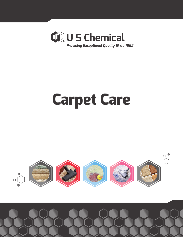

# **Carpet Care**

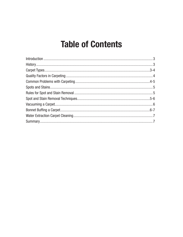# **Table of Contents**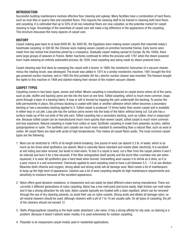### INTRODUCTION

Successful building maintenance involves effective floor cleaning and upkeep. Many facilities have a combination of hard floors, such as vinyl tiles or quarry tiles and carpeted floors. This requires the cleaning staff to be trained in cleaning both hard floors and carpeting. It is estimated that up to 50% of all non-industrial floors are now carpeted, so the potential market for carpet cleaning is huge. Knowledge of the essentials of carpet care will make a big difference in the appearance of the carpeting. This brochure discusses the many aspects of carpet care.

# **HISTORY**

Carpet making goes back to at least 6000 BC. By 3000 BC, the Egyptians were making woven carpets that resemble today's handmade carpeting. In 500 BC the Chinese were making woven carpets on primitive horizontal frames. Early looms were made from two forked tree branches joined by a crosspiece. Gradually carpet making spread to Europe. By the 1600s, there were large groups of weavers in France. Better machines continued to refine the process until 1787 when the steam powered loom made weaving an entirely automated process. By 1839, most carpeting was being made by steam powered loom.

Carpet cleaning was first done by sweeping the carpet with a broom. In 1869, the nonelectric forerunner of a vacuum cleaner, minus the rotating brush, was developed. The brush was added in 1875 to a similar nonelectric machine. 1901 brought the first gas powered suction machine, and in 1905 the first portable (92 lbs.) electric suction cleaner was invented. The Hoovers bought the rights to this machine in 1908 and started making their version of the modern vacuum cleaner.

## CARPET TYPES

Carpeting comes in two basic types, woven and tufted. Woven carpeting is manufactured on carpet looms where all of the yarns, such as pile, stuffer and backing yarns are fed into the loom at one time. Tufted carpeting, which is much more common, loops yarns through a layer of a backing fabric. A loop or tuft is formed by trapping the yarn underneath the backing. To anchor the tufts permanently in place, this primary backing is coated with latex or another adhesive which either becomes a secondary backing or has a secondary backing applied to it. Tufted carpet is produced 15 times faster than woven carpet and is available in either loop or cut pile. Loop pile has the surface yarns woven into the body of the fabric without being cut. Cut pile has a surface made up of the cut ends of the pile yarn. Tufted carpeting has a secondary backing, such as rubber, vinyl or polypropylene. Because tufted carpet can be manufactured much more quickly than woven carpet, tufted carpet is much more common and less expensive. Natural carpeting is made from cotton or wool. Synthetic carpeting is made from polyester, acrylics, olefins (polypropylene) or nylon. The synthetic yarn carpets are much more resistant to overwetting than a natural fiber, such as wool or cotton. All carpet fibers are dyed with acids at high temperatures. This makes all carpet fibers acidic. The most common carpet types are the following:

- 1. Wool can be stretched to 140% of its length before breaking. One pound of wool can absorb 0.3 lb. of water, which is as much as ten times what synthetics can absorb. Wool is naturally flame retardant and resists static electricity. It is excellent at soil hiding and stain removal, but tends to hold odors. To test if a carpet is wool, cut a fiber from the carpet (where it won't be noticed) and burn it for a few seconds. If the fiber extinguishes itself quickly and the burnt fiber crumbles into ash when squeezed, it is wool. All synthetics give a hard bead when burned. Overwetting wool causes it to shrink as it dries, so it is a poor choice in a wet environment. Chemicals applied to wool carpeting need to have a pH between 5.5 - 7.0 at use dilution. Bleaches (both chlorine and oxygen), strong alkali and strong acids will all damage wool. Wool needs a lot of maintenance to keep up the high level of appearance. Casinos use a lot of wool carpeting despite its high maintenance requirements and sensitivity to moisture because of the excellent appearance.
- 2. Nylon offers good abrasion resistance, is inexpensive and can easily be dyed different colors during manufacture. There are currently 5 different generations of nylon carpeting. Nylon has a low melt point and burns easily. High friction can melt nylon and it has a strong attraction for oily soils. Nylon carpets typically are treated with a stain repellant, which can be removed through the use of dry cleaning solvents, so avoid their use on nylon carpets. Strong acids and alkalis all damage nylon, so pH neutral cleaners should be used, although cleaners with a pH of 7 to 10 are usually safe. On all types of carpeting, the pH of the cleaners should not exceed 12.
- 3. Olefin (Polypropylene) carpeting is the least water absorbent. Like nylon, it has a strong affinity for oily soils, so staining is a problem. Because it doesn't absorb water readily, it is used extensively for outdoor carpeting.
- 4. Polyester is an inexpensive carpet mostly used in residential applications.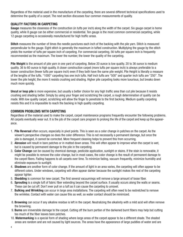Regardless of the material used in the manufacture of the carpeting, there are several different technical specifications used to determine the quality of a carpet. The next section discusses four common measurements of quality.

#### QUALITY FACTORS IN CARPETING

Gauge measures the closeness of the construction (in tufts per inch) along the width of the carpet. Six gauge carpet is home quality, while 8 gauge can be either commercial or residential. Ten gauge is the most common commercial carpeting, while 12 gauge carpeting is occasionally manufactured for high traffic areas.

Stitch measures the number of times the needle punctures each inch of the backing with the pile yarn. Stitch is measured perpendicular to the gauge. Eight stitch is generally the maximum in tufted construction. Multiplying the gauge by the stitch yields the number of tufts per square inch of carpeting. For commercial carpeting, 56 tufts per square inch is frequently recommended as the maximum. The lower the number, the lower the quality of the carpeting.

Pile Weight is the amount of pile yarn in one yard of carpeting. Below 20 ounce is low quality. 20 to 36 ounce is medium quality. 36 to 60 ounce is high quality. A closer construction carpet (more tufts per square inch) is always preferable to a looser construction (fewer tufts per square inch) even if they both have the same pile weight. Pile Height is literally a measure of the lengths of the tufts. "1000" carpeting has one inch tufts. Half inch tufts are "500" and quarter inch tufts are "250". The lower the pile height, the more it resists crushing and shading. Higher pile carpeting looks more luxurious, but breaks down much more quickly.

Uncut or loop pile is more expensive, but usually a better choice for any high traffic area than cut pile because it resists crushing and shading better. Simply by using your finger and scratching the carpet, a rough determination of quality can be made. With low quality carpet, scratching will allow the finger to penetrate to the first backing. Medium quality carpeting resists this and it is impossible to reach the backing in high quality carpeting.

#### COMMON PROBLEMS WITH CARPETING

Regardless of the material used to make the carpet, carpet maintenance programs frequently encounter the following problems. All carpets eventually wear out. It is the job of the carpet care program to prolong the life of the carpet and keep up the appearance.

- 1. Pile Reversal often occurs, especially in pivot points. This is seen as a color change in patches on the carpet. As the viewer's perspective changes so does the color difference. This is not necessarily a permanent damage, but once the pile is damaged, it cannot be corrected. More frequent cleaning helps to prevent this from occurring.
- 2. Abrasion will result in bare patches or in matted down areas. This will often appear to improve when the carpet is wet, but is caused by permanent damage to the pile in the carpeting.
- 3. Color Change can be caused by chemical damage, pesticide application, sunlight or stains. If the stain is removable, it might be possible to remove the color change, but in most cases, the color change is the result of permanent damage to the carpet fibers. Fading happens to all carpets over time. To minimize fading, vacuum frequently, minimize humidity and eliminate exposure to sunlight.
- 4. Shadows are another form of color change. If the amount of light in an area varies, the carpeting will often appear to be different colors. Under windows, carpeting will often appear darker because the sunlight makes the rest of the carpeting appear lighter.
- 5. Shedding is common for new carpet. The first several vacuumings will remove a large amount of loose fiber.
- 6. Sprouting is a single tuft of fabric fiber extending beyond the carpet surface. It usually occurs along the walls or seams. These can be cut off. Don't ever pull on a tuft as it can cause the carpeting to unravel.
- 7. Bulking and Wrinkling can occur in large area installations. The carpeting will often need to be restretched to remove the wrinkles. Contact with water can cause this as well, so water contact should be minimized.
- 8. Browning can occur if any alkaline residue is left in the carpet. Neutralizing the alkalinity with a mild acid will often remove the browning.
- 9. Burns are irreversible damage to the carpet. Cutting off the burn portion of the darkened burnt fibers may help but cutting too much of the fiber leaves bare patches.
- 10. Watermarking is a special form of shading where large areas of the carpet appear to be a different shade. The shaded areas are random and are not caused by light sources. The areas have the appearance of large puddles of water and are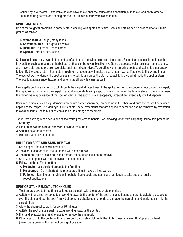caused by pile reversal. Exhaustive studies have shown that the cause of this condition is unknown and not related to manufacturing defects or cleaning procedures. This is a nonreversible condition.

#### SPOTS AND STAINS

One of the toughest problems in carpet care is dealing with spots and stains. Spots and stains can be divided into four main groups as follows:

- A. Water soluble sugar, many foods
- B. Solvent soluble oils, greases, waxes
- C. Insoluble pigments, toner, carbon
- D. Special protein, rust, iodine

Stains should also be viewed in the context of adding or removing color from the carpet. Stains that cause color gain can be irreversible, such as mustard or herbal tea, or they can be reversible, like ink. Stains that cause color loss, such as bleaching, are irreversible, but others are reversible, such as indicator dyes. To be effective in removing spots and stains, it is necessary to identify the spot or stain. Some stain treatment procedures will make a spot or stain worse if applied to the wrong things. The easiest way to identify the spot or stain is to ask. Many times the staff at a facility knows what made the spot or stain. The location, appearance, texture and smell may all provide clues as well.

Large spills on floors can wick back through the carpet at later times. If the spill soaks into the concrete floor under the carpet, the liquid will slowly climb the carpet fiber and evaporate leaving a spot or stain. The hotter the temperature in the environment, the faster the reappearance of the spot or stain. As the spot or stain reappears, retreat it and eventually it will disappear.

Certain chemicals, such as quaternary ammonium carpet sanitizers, can build up in the fibers and burn the carpet fibers when applied to the carpet. This damage is irreversible. Static protectants that are applied to carpeting can be removed by extraction to avoid buildups. These buildups can also cause damage to the fibers.

Toner from copying machines is one of the worst problems to handle. For removing toner from carpeting, follow this procedure. 1. Start dry

- 2. Vacuum above the surface and work down to the surface
- 3. Added a powdered spotter
- 4. Wet treat with solvent spotters

#### RULES FOR SPOT AND STAIN REMOVAL

- 1. Not all spots and stains will come out.
- 2. The older a spot or stain, the tougher it will be to remove.
- 3. The more the spot or stain has been treated, the tougher it will be to remove.
- 4. One type of spotter will not remove all spots or stains.
- 5. Follow the three P's of spotting
	- A. **Products** Use the right products the first time.
	- B. Procedures Don't shortcut the procedures, it just makes things worse.
	- C. Patience Rushing or hurrying will not help. Some spots and stains are just tough to take out and require repeat applications.

#### SPOT OR STAIN REMOVAL TECHNIQUES

- 1. Treat an area two to three times as large as the stain with the appropriate chemical.
- 2. Agitate with a carpet scraping tool, working towards the center of the spot or stain. If using a brush to agitate, place a cloth over the stain and tap the spot firmly, but do not scrub. Scrubbing tends to damage the carpeting and work the soil into the carpet fibers.
- 3. Allow the chemical to work for up to 15 minutes.
- 4. Agitate the spot or stain again, always working towards the center.
- 5. If a hand extractor is available, use it to remove the chemical.
- 6. Otherwise, blot to the center with an absorbent disposable cloth until the cloth comes up clean. Don't press too hard (never press down with your foot on a spot or stain).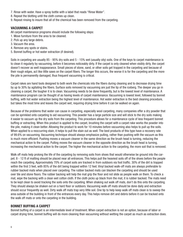- 7. Rinse with water. Have a spray bottle with a label that reads "Rinse Water".
- 8. Repeat the blotting until the cloth comes up clean.
- 9. Repeat rinsing to insure that all of the chemical has been removed from the carpeting.

#### VACUUMING A CARPET

All carpet maintenance programs should include the following steps:

- 1. Move furniture from the area to be cleaned.
- 2. Pick up any large debris.
- 3. Vacuum the area.
- 4. Remove any spots or stains.
- 5. Bonnet buffing or hot water extraction (if desired).

Soils in carpeting are usually 85 - 95% dry soils and 5 - 15% wet (usually oily) soils. One of the keys to carpet maintenance is to clean it regularly by vacuuming, before it becomes noticeably dirty. If the carpet is only cleaned when visibly dirty, the carpet doesn't recover as well inappearance. Small pieces of stone, sand, or other soils get trapped in the carpeting and because of their rough edges, act like little saws on the carpet fibers. The longer this occurs, the worse it is for the carpeting and the more the pile is permanently damaged, thus frequent vacuuming is critical.

Carpet rakes are hand tools designed to both work the chemicals into the fibers during cleaning and to decrease drying time by up to 30% by agitating the fibers. Surface soils removed by vacuuming are just the tip of the iceberg. The deeper you go in cleaning a carpet, the tougher it is to clean. Vacuuming needs to be done frequently, but is the lowest level of maintenance. A maintenance program can be thought of as having levels of carpet maintenance. Vacuuming is lowest level, followed by bonnet buffing, with hot water extraction being the highest level of maintenance. Hot water extraction is the best cleaning procedure, but takes the most time and leaves the carpet wet, requiring drying time before it can be walked on again.

Because of the problems that water can cause in carpeting, especially wool carpeting, many companies offer a dry powder that can be sprinkled onto carpeting to aid vacuuming. This powder has a large particle size and will stick to the dry soils making it easier to vacuum up the dry soils from the carpeting. This procedure allows for a maintenance cycle of less frequent bonnet buffing or extracting. When this product is applied to the carpet, brushing the carpet with a carpet rake works the powder into the pile, making it clean better. Allowing the product to work for 10 minutes before vacuuming also helps to pull up the soils. When applied to a reoccurring stain, it helps to pull the stain out as well. The best products of this type have a recovery rate of 99.6% on vacuuming. Vacuuming technique should always emphasize pulling, rather than pushing with the vacuum as this is much more efficient. Pushing moves a vacuum cleaner in the same direction as the brush head is turning, reducing the mechanical action to the carpet. Pulling moves the vacuum cleaner in the opposite direction as the brush head is turning, increasing the mechanical action to the carpet. The higher the mechanical action to the carpeting, the more soil that is removed.

Walk off mats help prolong the life of the carpeting by removing soils from shoes that would otherwise be ground into the carpet. 8 - 12 ft of matting should be placed near all entrances. This helps pull the heaviest soils off of the shoes before the people reach the carpeting. Approximately 70% of carpet soils are tracked in from outdoors via foot traffic. 30% of the dirt is trapped within the first 3 feet, with 85% of the dirt being trapped within 12 feet. Vinyl backed walk-off mats are always preferable to rubber backed mats when placed over carpeting. The rubber backed mats can blacken the carpeting and should be used over tile and stone floors. The rubber backing will help the mat grip the floor and not slide as people walk on them. To check a mat, wipe the backing with a clean wet cotton cloth. If the cloth picks up black from the mat, it is rubber backed. The mats need to be kept clean to avoid tracking the soils onto the carpeting. When shaking out walk off mats, don't do this onto the carpeting. They should always be shaken out on a hard floor or outdoors. Vacuuming walk off mats should be done daily and extraction should occur frequently as well. Dirty walk off mats trap very little soil. One tip to help keep walk off mats clean is to sweep the area outside of the building in front of the entrances every day. This helps remove dirt and debris before it can be tracked onto the walk off mats or onto the carpeting in the building.

#### BONNET BUFFING A CARPET

Bonnet buffing of a carpet is an intermediate level of treatment. When carpet extraction is not an option, because of labor or carpet drying time, bonnet buffing will do more cleaning than vacuuming without wetting the carpet as much as extraction does.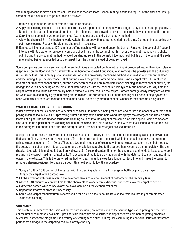Vacuuming doesn't remove all of the soil, just the soils that are loose. Bonnet buffing cleans the top 1/3 of the fiber and lifts up some of the dirt below it. The procedure is as follows:

- 1. Remove equipment or furniture from the area to be cleaned.
- 2. Apply the cleaning chemical to be used to a 10 ft by 15 ft portion of the carpet with a trigger spray bottle or pump up sprayer. Do not treat too large of an area at one time. If the chemicals are allowed to dry into the carpet, they can damage the carpet.
- 3. Soak the yarn bonnet in water and wring out (wet method) or use a dry bonnet (dry method).
- 4. Allow the chemical 8 10 minutes to work. Agitate the carpet with a carpet rake during this time. Do not let the carpeting dry out if wet cleaning. Reapply the cleaning chemical if necessary.
- 5. Bonnet buff the floor using a 175 rpm floor buffing machine with any pad under the bonnet. Rinse out the bonnet at frequent intervals with tap water to remove any buildups of soil if using the wet method. Turn over the bonnet frequently and shake it out (if using the dry bonnet method) to avoid building up soils in the bonnet. If too much soil builds up in the bonnet, the soils may end up being redeposited onto the carpet from the bonnet instead of being removed.

Some companies promote a somewhat different technique also called dry bonnet buffing. A powdered, rather than liquid cleaner, is sprinkled on the floor and then buffed with a dry bonnet to spread it out. Vacuuming removes the powder and the dirt, which is now stuck to it. This is really just a different version of the previously mentioned method of sprinkling a power on the floor and vacuuming it up. The difference is that buffing moves the powder around more than using a carpet rake. This method is less efficient than wet bonnet buffing, but the carpet can be walked on immediately after cleaning. With wet bonnet buffing, the drying time varies depending on the amount of water applied with the bonnet, but it is typically one hour or less. Any time the carpet is wet, it should be allowed to dry before traffic is allowed back on the carpet. Carpets damage easily if they are walked on while wet. To speed drying by increasing air circulation, use carpet fans, turn on the heating or air conditioning system or open windows. Launder wet method bonnets after each use and dry method bonnets whenever they become visibly soiled.

#### WATER EXTRACTION CARPET CLEANING

Water extraction carpet cleaners are very similar to floor automatic scrubbing machines and carpet shampooers. A carpet shampooing machine looks like a 175 rpm swing buffer but may have a hand held wand that sprays the detergent and uses a brush instead of a pad. The shampooer scrubs the cleaning solution into the carpet at the same time it is applied. Most shampooers also vacuum up a portion of the cleaning solution at the same time into a recovery tank. A shampooer tends to entrap the soils in the detergent left on the floor. After the detergent dries, the soil and detergent are vacuumed up.

A carpet extractor has a rinse water tank, a recovery tank and a rotary brush. The extractor operates by walking backwards so that you don't have to walk on the wet carpet. The rotary brush agitates the carpet while the spray jets apply a detergent or a rinse water solution at 40 - 100 psi. There are two main methods of cleaning with a hot water extractor. In the first method, the detergent solution is put into an extractor and the solution is applied to the carpet then vacuumed up immediately. The big disadvantage with this method is that it only allows a 3 - 5 second contact time for the chemicals and tends to leave a detergent residue in the carpet making it attract soils. The second method is to spray the carpet with the detergent solution and use rinse water in the extractor. This is the preferred method for cleaning as it allows for a longer contact time and rinses the carpet to remove detergent residues. To clean a carpet with an extractor, follow this procedure.

- 1. Spray a 10 ft by 15 ft portion of the carpet with the cleaning solution in a trigger spray bottle or pump up sprayer. Agitate the carpet with a carpet rake.
- 2. Fill the extractor with rinse water in the detergent tank and a small amount of defoamer in the recovery tank.
- 3. Allow 8 10 minutes of contact time for the chemicals to work before extracting, but don't allow the carpet to dry out.
- 4. Extract the carpet, walking backwards to avoid walking on the cleaned wet carpet.
- 5. Repeat the treatment process if necessary.
- 6. Some wool carpet manufacturers recommend a mild acidic rinse to neutralize alkaline residues that might remain after extraction cleaning.

#### **SUMMARY**

This brochure summarized the basics of carpet care including an introduction to the various types of carpeting and the different maintenance methods available. Spot and stain removal were discussed in depth as were common carpeting problems. Successful carpet care programs use a variety of cleaning techniques, but regular vacuuming to control buildups of dirt before permanent damage to the carpeting occurs is always the key.